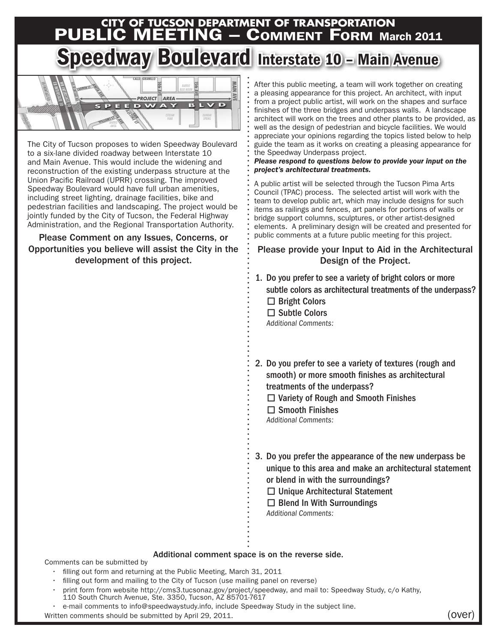# **CITY OF TUCSON DEPARTMENT OF TRANSPORTATION**<br>PUBLIC MEETING — COMMENT FORM Ma **ING – COMMENT FORM March 2011**

# Speedway Boulevard Interstate 10 - Main Avenue



The City of Tucson proposes to widen Speedway Boulevard to a six-lane divided roadway between Interstate 10 and Main Avenue. This would include the widening and reconstruction of the existing underpass structure at the Union Pacific Railroad (UPRR) crossing. The improved Speedway Boulevard would have full urban amenities, including street lighting, drainage facilities, bike and pedestrian facilities and landscaping. The project would be jointly funded by the City of Tucson, the Federal Highway Administration, and the Regional Transportation Authority.

Please Comment on any Issues, Concerns, or Opportunities you believe will assist the City in the development of this project.

After this public meeting, a team will work together on creating a pleasing appearance for this project. An architect, with input from a project public artist, will work on the shapes and surface finishes of the three bridges and underpass walls. A landscape architect will work on the trees and other plants to be provided, as well as the design of pedestrian and bicycle facilities. We would appreciate your opinions regarding the topics listed below to help guide the team as it works on creating a pleasing appearance for the Speedway Underpass project.

#### *Please respond to questions below to provide your input on the project's architectural treatments.*

A public artist will be selected through the Tucson Pima Arts Council (TPAC) process. The selected artist will work with the team to develop public art, which may include designs for such items as railings and fences, art panels for portions of walls or bridge support columns, sculptures, or other artist-designed elements. A preliminary design will be created and presented for public comments at a future public meeting for this project.

## Please provide your Input to Aid in the Architectural Design of the Project.

- 1. Do you prefer to see a variety of bright colors or more subtle colors as architectural treatments of the underpass? □ Bright Colors
	- □ Subtle Colors
	- Additional Comments:
- 2. Do you prefer to see a variety of textures (rough and smooth) or more smooth finishes as architectural treatments of the underpass?
	- □ Variety of Rough and Smooth Finishes
	- $\Box$  Smooth Finishes
	- Additional Comments:
- 3. Do you prefer the appearance of the new underpass be unique to this area and make an architectural statement or blend in with the surroundings?
	- □ Unique Architectural Statement
	- $\square$  Blend In With Surroundings

Additional Comments:

### Additional comment space is on the reverse side.

Comments can be submitted by

- filling out form and returning at the Public Meeting, March 31, 2011
- filling out form and mailing to the City of Tucson (use mailing panel on reverse)
- print form from website [http://cms3.tucsonaz.gov/project/speedwa](http://cms3.tucsonaz.gov/project/speedway)y, and mail to: Speedway Study, c/o Kathy, 110 South Church Avenue, Ste. 3350, Tucson, AZ 85701-7617
- e-mail comments to info@speedwaystudy.info, include Speedway Study in the subject line.

Written comments should be submitted by April 29, 2011.  $(over$